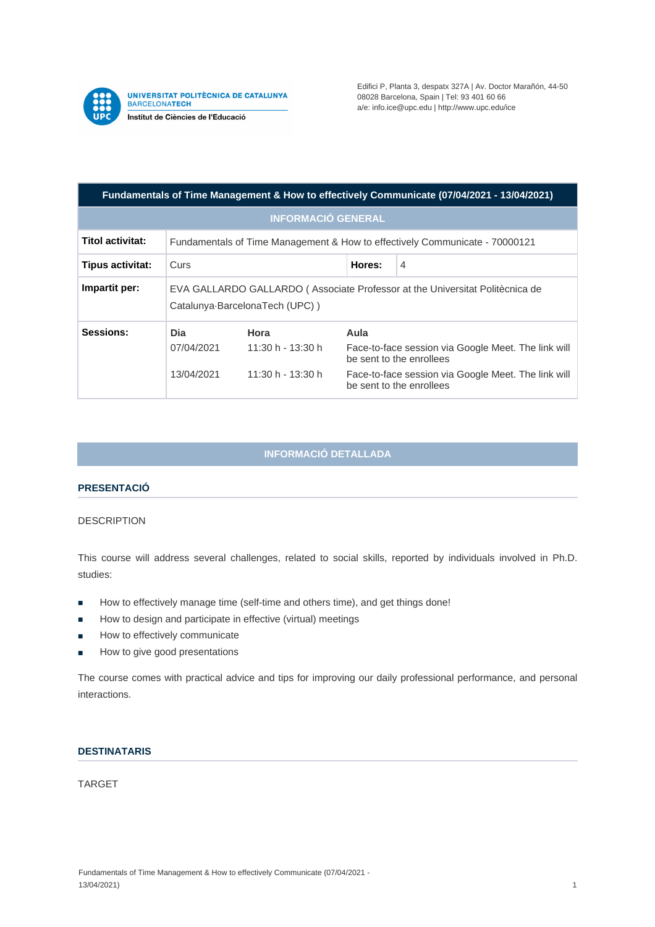

**UNIVERSITAT POLITÈCNICA DE CATALUNYA<br>BARCELONATECH** Institut de Ciències de l'Educació

Edifici P, Planta 3, despatx 327A | Av. Doctor Marañón, 44-50 08028 Barcelona, Spain | Tel: 93 401 60 66 a/e: info.ice@upc.edu | http://www.upc.edu/ice

| Fundamentals of Time Management & How to effectively Communicate (07/04/2021 - 13/04/2021) |                                                                                                                |                                                  |                                                                                                                                                                            |   |
|--------------------------------------------------------------------------------------------|----------------------------------------------------------------------------------------------------------------|--------------------------------------------------|----------------------------------------------------------------------------------------------------------------------------------------------------------------------------|---|
| <b>INFORMACIÓ GENERAL</b>                                                                  |                                                                                                                |                                                  |                                                                                                                                                                            |   |
| Titol activitat:                                                                           | Fundamentals of Time Management & How to effectively Communicate - 70000121                                    |                                                  |                                                                                                                                                                            |   |
| Tipus activitat:                                                                           | Curs                                                                                                           |                                                  | Hores:                                                                                                                                                                     | 4 |
| Impartit per:                                                                              | EVA GALLARDO GALLARDO (Associate Professor at the Universitat Politècnica de<br>Catalunya-BarcelonaTech (UPC)) |                                                  |                                                                                                                                                                            |   |
| Sessions:                                                                                  | Dia<br>07/04/2021<br>13/04/2021                                                                                | Hora<br>11:30 h - 13:30 h<br>$11:30 h - 13:30 h$ | Aula<br>Face-to-face session via Google Meet. The link will<br>be sent to the enrollees<br>Face-to-face session via Google Meet. The link will<br>be sent to the enrollees |   |

# **INFORMACIÓ DETALLADA**

# **PRESENTACIÓ**

## DESCRIPTION

This course will address several challenges, related to social skills, reported by individuals involved in Ph.D. studies:

- How to effectively manage time (self-time and others time), and get things done!
- How to design and participate in effective (virtual) meetings
- How to effectively communicate
- How to give good presentations

The course comes with practical advice and tips for improving our daily professional performance, and personal interactions.

### **DESTINATARIS**

TARGET